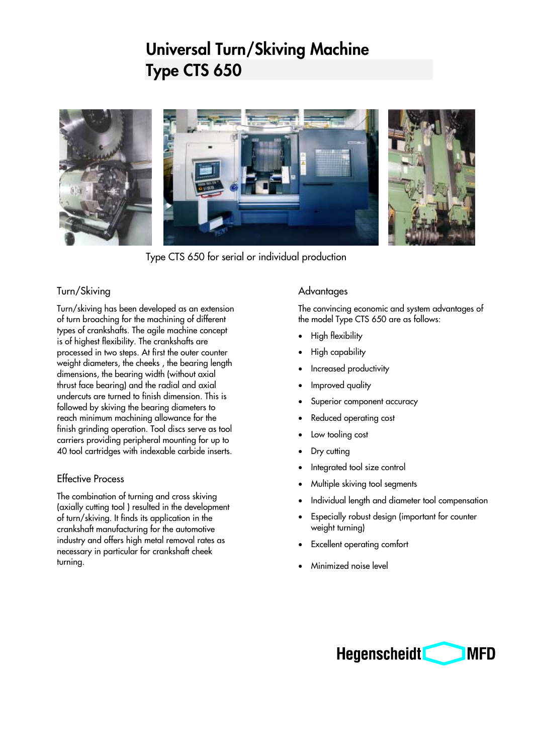# **Universal Turn/Skiving Machine Type CTS 650**



Type CTS 650 for serial or individual production

### Turn/Skiving

Turn/skiving has been developed as an extension of turn broaching for the machining of different types of crankshafts. The agile machine concept is of highest flexibility. The crankshafts are processed in two steps. At first the outer counter weight diameters, the cheeks , the bearing length dimensions, the bearing width (without axial thrust face bearing) and the radial and axial undercuts are turned to finish dimension. This is followed by skiving the bearing diameters to reach minimum machining allowance for the finish grinding operation. Tool discs serve as tool carriers providing peripheral mounting for up to 40 tool cartridges with indexable carbide inserts.

#### Effective Process

The combination of turning and cross skiving (axially cutting tool ) resulted in the development of turn/skiving. It finds its application in the crankshaft manufacturing for the automotive industry and offers high metal removal rates as necessary in particular for crankshaft cheek turning.

## **Advantages**

The convincing economic and system advantages of the model Type CTS 650 are as follows:

- High flexibility
- High capability
- Increased productivity
- Improved quality
- Superior component accuracy
- Reduced operating cost
- Low tooling cost
- Dry cutting
- Integrated tool size control
- Multiple skiving tool segments
- Individual length and diameter tool compensation
- Especially robust design (important for counter weight turning)
- **Excellent operating comfort**
- Minimized noise level